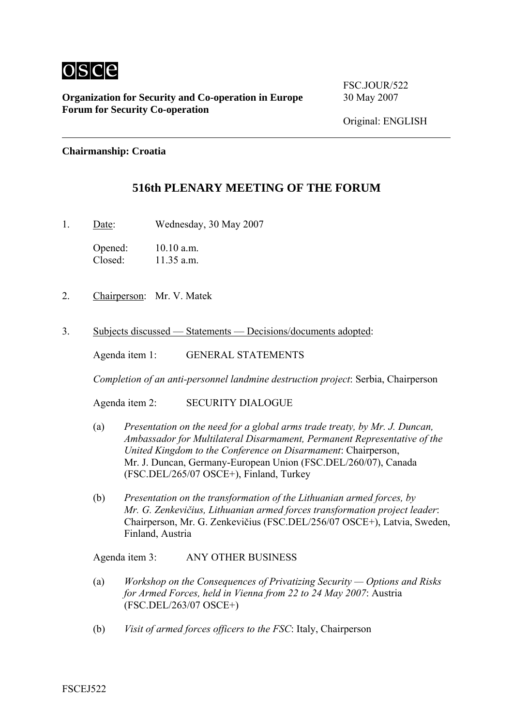

**Organization for Security and Co-operation in Europe** 30 May 2007 **Forum for Security Co-operation** 

FSC.JOUR/522

## **Chairmanship: Croatia**

## **516th PLENARY MEETING OF THE FORUM**

1. Date: Wednesday, 30 May 2007

Opened: 10.10 a.m.<br>Closed: 11.35 a m  $11.35$  a.m.

- 2. Chairperson: Mr. V. Matek
- 3. Subjects discussed Statements Decisions/documents adopted:

Agenda item 1: GENERAL STATEMENTS

*Completion of an anti-personnel landmine destruction project*: Serbia, Chairperson

Agenda item 2: SECURITY DIALOGUE

- (a) *Presentation on the need for a global arms trade treaty, by Mr. J. Duncan, Ambassador for Multilateral Disarmament, Permanent Representative of the United Kingdom to the Conference on Disarmament*: Chairperson, Mr. J. Duncan, Germany-European Union (FSC.DEL/260/07), Canada (FSC.DEL/265/07 OSCE+), Finland, Turkey
- (b) *Presentation on the transformation of the Lithuanian armed forces, by Mr. G. Zenkevičius, Lithuanian armed forces transformation project leader*: Chairperson, Mr. G. Zenkevičius (FSC.DEL/256/07 OSCE+), Latvia, Sweden, Finland, Austria

Agenda item 3: ANY OTHER BUSINESS

- (a) *Workshop on the Consequences of Privatizing Security Options and Risks for Armed Forces, held in Vienna from 22 to 24 May 2007*: Austria (FSC.DEL/263/07 OSCE+)
- (b) *Visit of armed forces officers to the FSC*: Italy, Chairperson